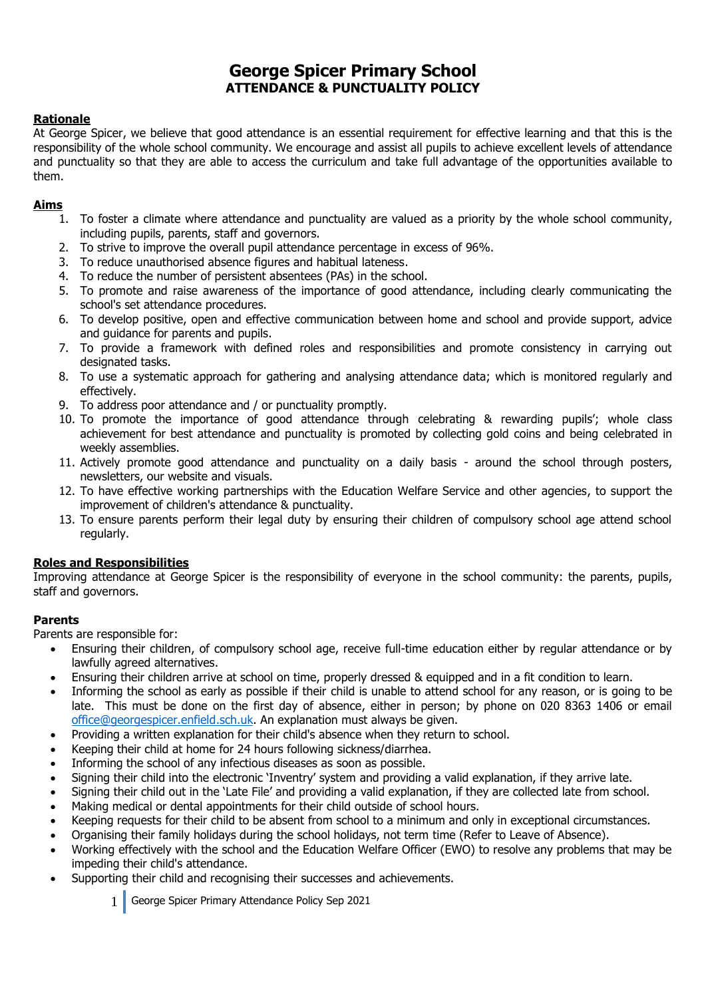# **George Spicer Primary School ATTENDANCE & PUNCTUALITY POLICY**

## **Rationale**

At George Spicer, we believe that good attendance is an essential requirement for effective learning and that this is the responsibility of the whole school community. We encourage and assist all pupils to achieve excellent levels of attendance and punctuality so that they are able to access the curriculum and take full advantage of the opportunities available to them.

## **Aims**

- 1. To foster a climate where attendance and punctuality are valued as a priority by the whole school community, including pupils, parents, staff and governors.
- 2. To strive to improve the overall pupil attendance percentage in excess of 96%.
- 3. To reduce unauthorised absence figures and habitual lateness.
- 4. To reduce the number of persistent absentees (PAs) in the school.
- 5. To promote and raise awareness of the importance of good attendance, including clearly communicating the school's set attendance procedures.
- 6. To develop positive, open and effective communication between home and school and provide support, advice and guidance for parents and pupils.
- 7. To provide a framework with defined roles and responsibilities and promote consistency in carrying out designated tasks.
- 8. To use a systematic approach for gathering and analysing attendance data; which is monitored regularly and effectively.
- 9. To address poor attendance and / or punctuality promptly.
- 10. To promote the importance of good attendance through celebrating & rewarding pupils'; whole class achievement for best attendance and punctuality is promoted by collecting gold coins and being celebrated in weekly assemblies.
- 11. Actively promote good attendance and punctuality on a daily basis around the school through posters, newsletters, our website and visuals.
- 12. To have effective working partnerships with the Education Welfare Service and other agencies, to support the improvement of children's attendance & punctuality.
- 13. To ensure parents perform their legal duty by ensuring their children of compulsory school age attend school regularly.

## **Roles and Responsibilities**

Improving attendance at George Spicer is the responsibility of everyone in the school community: the parents, pupils, staff and governors.

## **Parents**

Parents are responsible for:

- Ensuring their children, of compulsory school age, receive full-time education either by regular attendance or by lawfully agreed alternatives.
- Ensuring their children arrive at school on time, properly dressed & equipped and in a fit condition to learn.
- Informing the school as early as possible if their child is unable to attend school for any reason, or is going to be late. This must be done on the first day of absence, either in person; by phone on 020 8363 1406 or email [office@georgespicer.enfield.sch.uk.](mailto:office@georgespicer.enfield.sch.uk) An explanation must always be given.
- Providing a written explanation for their child's absence when they return to school.
- Keeping their child at home for 24 hours following sickness/diarrhea.
- Informing the school of any infectious diseases as soon as possible.
- Signing their child into the electronic 'Inventry' system and providing a valid explanation, if they arrive late.
- Signing their child out in the 'Late File' and providing a valid explanation, if they are collected late from school.
- Making medical or dental appointments for their child outside of school hours.
- Keeping requests for their child to be absent from school to a minimum and only in exceptional circumstances.
- Organising their family holidays during the school holidays, not term time (Refer to Leave of Absence).
- Working effectively with the school and the Education Welfare Officer (EWO) to resolve any problems that may be impeding their child's attendance.
- Supporting their child and recognising their successes and achievements.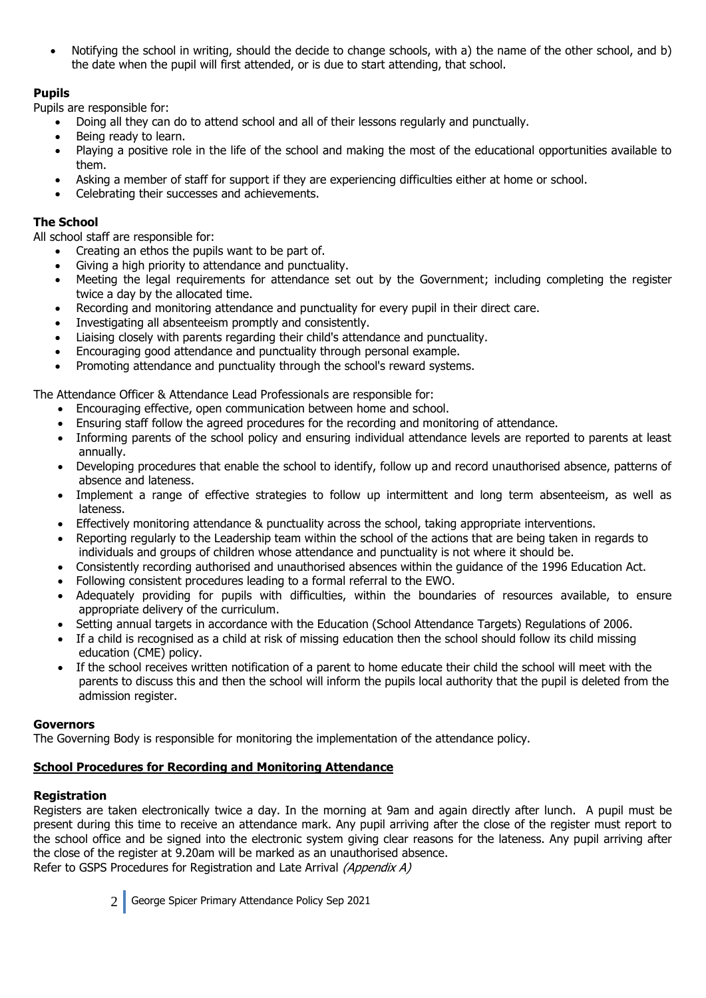Notifying the school in writing, should the decide to change schools, with a) the name of the other school, and b) the date when the pupil will first attended, or is due to start attending, that school.

## **Pupils**

Pupils are responsible for:

- Doing all they can do to attend school and all of their lessons regularly and punctually.
- Being ready to learn.
- Playing a positive role in the life of the school and making the most of the educational opportunities available to them.
- Asking a member of staff for support if they are experiencing difficulties either at home or school.
- Celebrating their successes and achievements.

## **The School**

All school staff are responsible for:

- Creating an ethos the pupils want to be part of.
- Giving a high priority to attendance and punctuality.
- Meeting the legal requirements for attendance set out by the Government; including completing the register twice a day by the allocated time.
- Recording and monitoring attendance and punctuality for every pupil in their direct care.
- Investigating all absenteeism promptly and consistently.
- Liaising closely with parents regarding their child's attendance and punctuality.
- Encouraging good attendance and punctuality through personal example.
- Promoting attendance and punctuality through the school's reward systems.

The Attendance Officer & Attendance Lead Professionals are responsible for:

- Encouraging effective, open communication between home and school.
- Ensuring staff follow the agreed procedures for the recording and monitoring of attendance.
- Informing parents of the school policy and ensuring individual attendance levels are reported to parents at least annually.
- Developing procedures that enable the school to identify, follow up and record unauthorised absence, patterns of absence and lateness.
- Implement a range of effective strategies to follow up intermittent and long term absenteeism, as well as lateness.
- Effectively monitoring attendance & punctuality across the school, taking appropriate interventions.
- Reporting regularly to the Leadership team within the school of the actions that are being taken in regards to individuals and groups of children whose attendance and punctuality is not where it should be.
- Consistently recording authorised and unauthorised absences within the guidance of the 1996 Education Act.
- Following consistent procedures leading to a formal referral to the EWO.
- Adequately providing for pupils with difficulties, within the boundaries of resources available, to ensure appropriate delivery of the curriculum.
- Setting annual targets in accordance with the Education (School Attendance Targets) Regulations of 2006.
- If a child is recognised as a child at risk of missing education then the school should follow its child missing education (CME) policy.
- If the school receives written notification of a parent to home educate their child the school will meet with the parents to discuss this and then the school will inform the pupils local authority that the pupil is deleted from the admission register.

## **Governors**

The Governing Body is responsible for monitoring the implementation of the attendance policy.

## **School Procedures for Recording and Monitoring Attendance**

## **Registration**

Registers are taken electronically twice a day. In the morning at 9am and again directly after lunch. A pupil must be present during this time to receive an attendance mark. Any pupil arriving after the close of the register must report to the school office and be signed into the electronic system giving clear reasons for the lateness. Any pupil arriving after the close of the register at 9.20am will be marked as an unauthorised absence. Refer to GSPS Procedures for Registration and Late Arrival (Appendix A)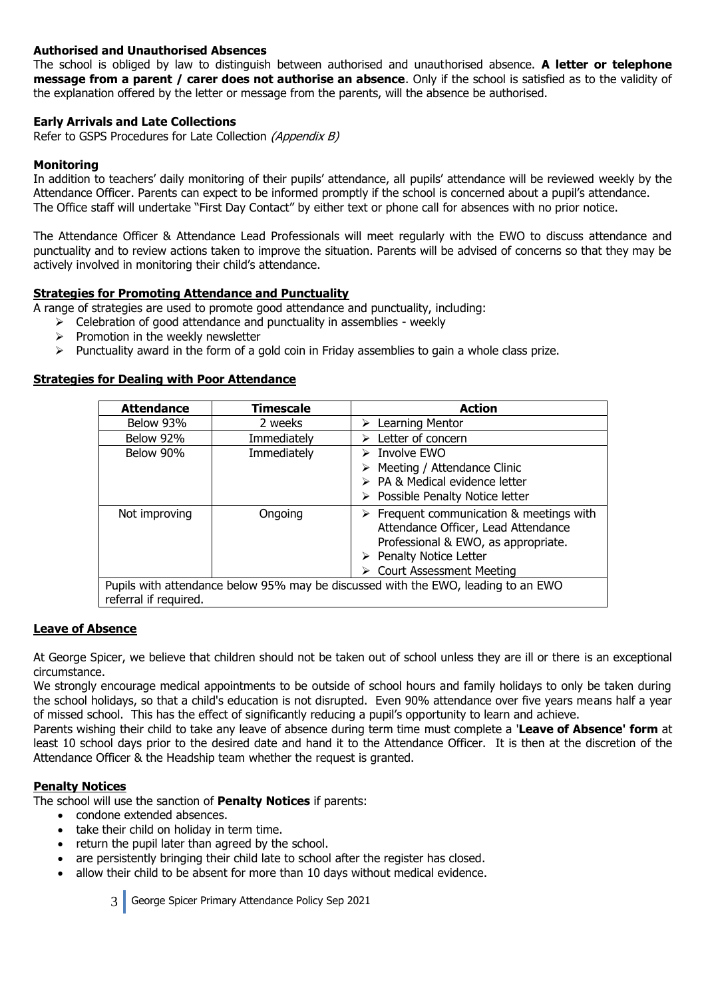#### **Authorised and Unauthorised Absences**

The school is obliged by law to distinguish between authorised and unauthorised absence. **A letter or telephone message from a parent / carer does not authorise an absence**. Only if the school is satisfied as to the validity of the explanation offered by the letter or message from the parents, will the absence be authorised.

#### **Early Arrivals and Late Collections**

Refer to GSPS Procedures for Late Collection (Appendix B)

#### **Monitoring**

In addition to teachers' daily monitoring of their pupils' attendance, all pupils' attendance will be reviewed weekly by the Attendance Officer. Parents can expect to be informed promptly if the school is concerned about a pupil's attendance. The Office staff will undertake "First Day Contact" by either text or phone call for absences with no prior notice.

The Attendance Officer & Attendance Lead Professionals will meet regularly with the EWO to discuss attendance and punctuality and to review actions taken to improve the situation. Parents will be advised of concerns so that they may be actively involved in monitoring their child's attendance.

#### **Strategies for Promoting Attendance and Punctuality**

A range of strategies are used to promote good attendance and punctuality, including:

- $\triangleright$  Celebration of good attendance and punctuality in assemblies weekly
- $\triangleright$  Promotion in the weekly newsletter
- $\triangleright$  Punctuality award in the form of a gold coin in Friday assemblies to gain a whole class prize.

#### **Strategies for Dealing with Poor Attendance**

| <b>Attendance</b>     | Timescale   | <b>Action</b>                                                                                                                                                                                                 |
|-----------------------|-------------|---------------------------------------------------------------------------------------------------------------------------------------------------------------------------------------------------------------|
| Below 93%             | 2 weeks     | $\triangleright$ Learning Mentor                                                                                                                                                                              |
| Below 92%             | Immediately | $\triangleright$ Letter of concern                                                                                                                                                                            |
| Below 90%             | Immediately | $\triangleright$ Involve EWO                                                                                                                                                                                  |
|                       |             | $\triangleright$ Meeting / Attendance Clinic                                                                                                                                                                  |
|                       |             | > PA & Medical evidence letter                                                                                                                                                                                |
|                       |             | $\triangleright$ Possible Penalty Notice letter                                                                                                                                                               |
| Not improving         | Ongoing     | $\triangleright$ Frequent communication & meetings with<br>Attendance Officer, Lead Attendance<br>Professional & EWO, as appropriate.<br>$\triangleright$ Penalty Notice Letter<br>> Court Assessment Meeting |
| referral if required. |             | Pupils with attendance below 95% may be discussed with the EWO, leading to an EWO                                                                                                                             |

#### **Leave of Absence**

At George Spicer, we believe that children should not be taken out of school unless they are ill or there is an exceptional circumstance.

We strongly encourage medical appointments to be outside of school hours and family holidays to only be taken during the school holidays, so that a child's education is not disrupted. Even 90% attendance over five years means half a year of missed school. This has the effect of significantly reducing a pupil's opportunity to learn and achieve.

Parents wishing their child to take any leave of absence during term time must complete a '**Leave of Absence' form** at least 10 school days prior to the desired date and hand it to the Attendance Officer. It is then at the discretion of the Attendance Officer & the Headship team whether the request is granted.

#### **Penalty Notices**

The school will use the sanction of **Penalty Notices** if parents:

- condone extended absences.
- take their child on holiday in term time.
- return the pupil later than agreed by the school.
- are persistently bringing their child late to school after the register has closed.
- allow their child to be absent for more than 10 days without medical evidence.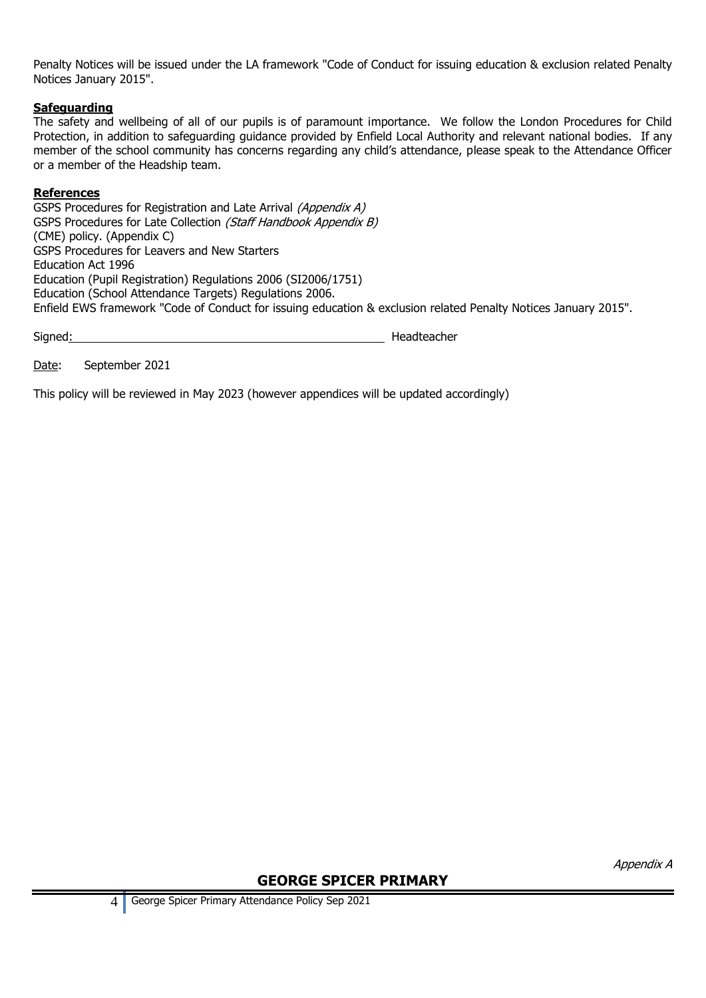Penalty Notices will be issued under the LA framework "Code of Conduct for issuing education & exclusion related Penalty Notices January 2015".

#### **Safeguarding**

The safety and wellbeing of all of our pupils is of paramount importance. We follow the London Procedures for Child Protection, in addition to safeguarding guidance provided by Enfield Local Authority and relevant national bodies. If any member of the school community has concerns regarding any child's attendance, please speak to the Attendance Officer or a member of the Headship team.

#### **References**

GSPS Procedures for Registration and Late Arrival (Appendix A) GSPS Procedures for Late Collection (Staff Handbook Appendix B) (CME) policy. (Appendix C) GSPS Procedures for Leavers and New Starters Education Act 1996 Education (Pupil Registration) Regulations 2006 (SI2006/1751) Education (School Attendance Targets) Regulations 2006. Enfield EWS framework "Code of Conduct for issuing education & exclusion related Penalty Notices January 2015".

Signed: Headteacher

Date: September 2021

This policy will be reviewed in May 2023 (however appendices will be updated accordingly)

Appendix A

## **GEORGE SPICER PRIMARY**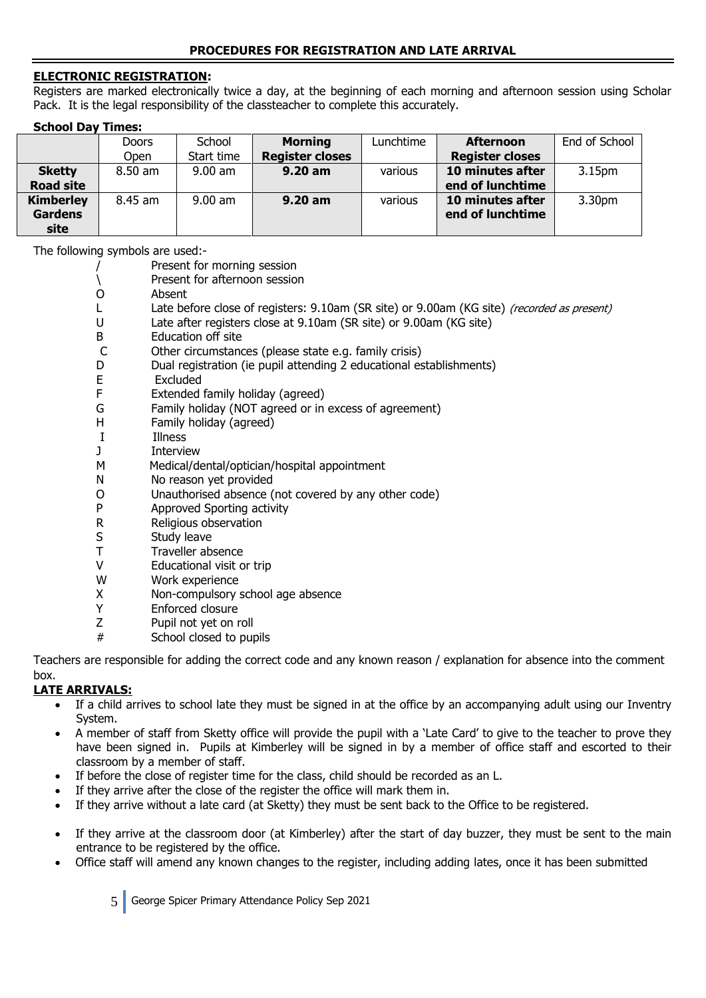#### **ELECTRONIC REGISTRATION:**

Registers are marked electronically twice a day, at the beginning of each morning and afternoon session using Scholar Pack. It is the legal responsibility of the classteacher to complete this accurately.

| <b>School Day Times:</b> |              |            |                        |           |                        |                    |
|--------------------------|--------------|------------|------------------------|-----------|------------------------|--------------------|
|                          | <b>Doors</b> | School     | <b>Morning</b>         | Lunchtime | <b>Afternoon</b>       | End of School      |
|                          | <b>Open</b>  | Start time | <b>Register closes</b> |           | <b>Register closes</b> |                    |
| <b>Sketty</b>            | 8.50 am      | $9.00$ am  | 9.20 am                | various   | 10 minutes after       | 3.15pm             |
| <b>Road site</b>         |              |            |                        |           | end of lunchtime       |                    |
| <b>Kimberley</b>         | 8.45 am      | $9.00$ am  | $9.20$ am              | various   | 10 minutes after       | 3.30 <sub>pm</sub> |
| <b>Gardens</b>           |              |            |                        |           | end of lunchtime       |                    |
| site                     |              |            |                        |           |                        |                    |

The following symbols are used:-

| The following symbols are used:- |                              |  |
|----------------------------------|------------------------------|--|
|                                  | Present for morning session  |  |
|                                  | Drocont for afternoon coccio |  |

|              | Present for afternoon session                                                                        |
|--------------|------------------------------------------------------------------------------------------------------|
| O            | Absent                                                                                               |
|              | Late before close of registers: 9.10am (SR site) or 9.00am (KG site) (recorded as present)           |
| U            | Late after registers close at 9.10am (SR site) or 9.00am (KG site)                                   |
| B            | <b>Education off site</b>                                                                            |
| $\mathsf{C}$ | Other circumstances (please state e.g. family crisis)                                                |
| D            | Dual registration (ie pupil attending 2 educational establishments)                                  |
| E            | Excluded                                                                                             |
| F            | Extended family holiday (agreed)                                                                     |
| G            | Family holiday (NOT agreed or in excess of agreement)                                                |
| H            | Family holiday (agreed)                                                                              |
| I            | Illness                                                                                              |
| J            | <b>Interview</b>                                                                                     |
| M            | Medical/dental/optician/hospital appointment                                                         |
| N            | No reason yet provided                                                                               |
| O            | Unauthorised absence (not covered by any other code)                                                 |
| P            | Approved Sporting activity                                                                           |
| R            | Religious observation                                                                                |
| S            | Study leave                                                                                          |
| T            | Traveller absence                                                                                    |
| V            | Educational visit or trip                                                                            |
| W            | Work experience                                                                                      |
| X            | Non-compulsory school age absence                                                                    |
| Υ            | Enforced closure                                                                                     |
| Z            | Pupil not yet on roll                                                                                |
| #            | School closed to pupils                                                                              |
|              | وملاحظته ومحموله بروكا ورمثا مصاحبها المتمحمين وبرزومين الروزم والمحم والممتح ومسمو المواطن والمائمة |

Teachers are responsible for adding the correct code and any known reason / explanation for absence into the comment box.

## **LATE ARRIVALS:**

- If a child arrives to school late they must be signed in at the office by an accompanying adult using our Inventry System.
- A member of staff from Sketty office will provide the pupil with a 'Late Card' to give to the teacher to prove they have been signed in. Pupils at Kimberley will be signed in by a member of office staff and escorted to their classroom by a member of staff.
- If before the close of register time for the class, child should be recorded as an L.
- If they arrive after the close of the register the office will mark them in.
- If they arrive without a late card (at Sketty) they must be sent back to the Office to be registered.
- If they arrive at the classroom door (at Kimberley) after the start of day buzzer, they must be sent to the main entrance to be registered by the office.
- Office staff will amend any known changes to the register, including adding lates, once it has been submitted